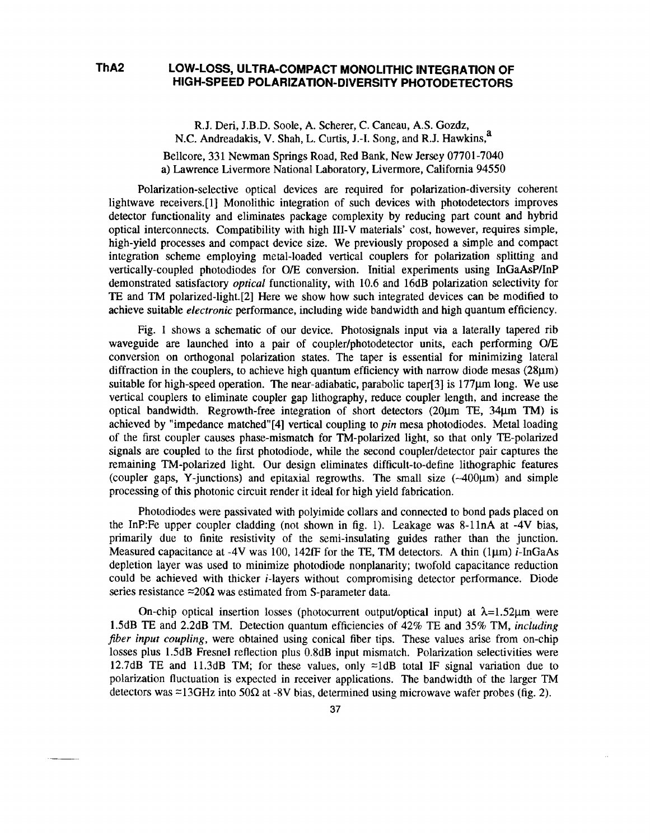## **ThA2 LOW-LOSS, ULTRA-COMPACT MONOLITHIC INTEGRATION OF HIGH-SPEED POLARIZATION-DIVERSITY PHOTODETECTORS**

R.J. Deri, J.B.D. Soole, A. Scherer, C. Caneau, A.S. Gozdz, N.C. Andreadakis, V. Shah, L. Curtis, J.-I. Song, and R.J. Hawkins.<sup>a</sup> Bellcore, 331 Newman Springs Road, Red Bank, New Jersey 07701-7040 a) Lawrence Livermore National Laboratory, Livermore, California 94550

Polarization-selective optical devices are required for polarization-diversity coherent lightwave receivers.[l] Monolithic integration of such devices with photodetectors improves detector functionality and eliminates package complexity by reducing part count and hybrid optical interconnects. Compatibility with high III-V materials' cost, however, requires simple, high-yield processes and compact device size. We previously proposed a simple and compact integration scheme employing metal-loaded vertical couplers for polarization splitting and vertically-coupled photodiodes for O/E conversion. Initial experiments using InGaAsP/InP demonstrated satisfactory *optical* functionality, with 10.6 and 16dB polarization selectivity for TE and TM polarized-light.[2] Here we show how such integrated devices can be modified to achieve suitable *electronic* performance, including wide bandwidth and high quantum efficiency.

Fig. 1 shows a schematic of our device. Photosignals input via a laterally tapered rib waveguide are launched into a pair of coupler/photodetector units, each performing O/E conversion on orthogonal polarization states. The taper is essential for minimizing lateral diffraction in the couplers, to achieve high quantum efficiency with narrow diode mesas (28µm) suitable for high-speed operation. The near-adiabatic, parabolic taper  $[3]$  is 177 $\mu$ m long. We use vertical couplers to eliminate coupler gap lithography, reduce coupler length, and increase the optical bandwidth. Regrowth-free integration of short detectors (20µm TE, 34µm TM) is achieved by "impedance matched"[4] vertical coupling to *pin* mesa photodiodes. Metal loading of the first coupler causes phase-mismatch for TM-polarized light, so that only TE-polarized signals are coupled to the first photodiode, while the second coupler/detector pair captures the remaining TM-polarized light. Our design eliminates difficult-to-define lithographic features (coupler gaps, Y-junctions) and epitaxial regrowths. The small size  $(-400\mu m)$  and simple processing of this photonic circuit render it ideal for high yield fabrication.

Photodiodes were passivated with polyimide collars and connected to bond pads placed on the InP:Fe upper coupler cladding (not shown in fig. 1). Leakage was 8-llnA at -4V bias, primarily due to finite resistivity of the semi-insulating guides rather than the junction. Measured capacitance at -4V was 100, 142fF for the TE, TM detectors. A thin (lµm) i-InGaAs depletion layer was used to minimize photodiode nonplanarity; twofold capacitance reduction could be achieved with thicker i-layers without compromising detector performance. Diode series resistance  $\approx 20\Omega$  was estimated from S-parameter data.

On-chip optical insertion losses (photocurrent output/optical input) at  $\lambda = 1.52 \mu m$  were l.5dB TE and 2.2dB TM. Detection quantum efficiencies of 42% TE and 35% TM, *including fiber input coupling,* were obtained using conical fiber tips. These values arise from on-chip losses plus 1.5dB Fresnel reflection plus 0.8dB input mismatch. Polarization selectivities were 12.7dB TE and 11.3dB TM; for these values, only  $\approx$ 1dB total IF signal variation due to polarization fluctuation is expected in receiver applications. The bandwidth of the larger TM detectors was  $\approx$ 13GHz into 50 $\Omega$  at -8V bias, determined using microwave wafer probes (fig. 2).